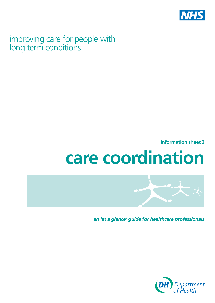

# improving care for people with long term conditions

**information sheet 3** 

# **care coordination**



*an 'at a glance' guide for healthcare professionals*

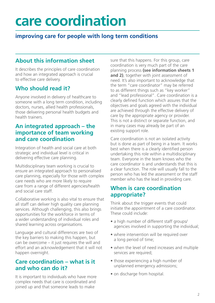# **care coordination**

# **improving care for people with long term conditions**

# **About this information sheet**

It describes the principles of care coordination and how an integrated approach is crucial to effective care delivery.

# **Who should read it?**

Anyone involved in delivery of healthcare to someone with a long term condition, including doctors, nurses, allied health professionals, those delivering personal health budgets and health trainers.

#### **An integrated approach – the importance of team working and care coordination**

Integration of health and social care at both strategic and individual level is critical in delivering effective care planning.

Multidisciplinary team working is crucial to ensure an integrated approach to personalised care planning, especially for those with complex care needs who are more likely to require care from a range of different agencies/health and social care staff.

Collaborative working is also vital to ensure that all staff can deliver high quality care planning services. Although challenging, this also brings opportunities for the workforce in terms of a wider understanding of individual roles and shared learning across organisations.

Language and cultural differences are two of the key barriers to making this happen, but can be overcome – it just requires the will and effort and an acknowledgement that it will not happen overnight.

#### **Care coordination – what is it and who can do it?**

It is important to individuals who have more complex needs that care is coordinated and joined up and that someone leads to make

sure that this happens. For this group, care coordination is very much part of the care planning process **(see information sheets 1**  and 2), together with joint assessment of need. It's also important to acknowledge that the term "care coordinator" may be referred to as different things such as "key worker" and "lead professional". Care coordination is a clearly defined function which assures that the objectives and goals agreed with the individual are achieved through the effective delivery of care by the appropriate agency or provider. This is not a distinct or separate function, and in many cases may already be part of an existing support role.

Care coordination is not an isolated activity but is done as part of being in a team. It works best when there is a clearly identified person undertaking this role within a multidisciplinary team. Everyone in the team knows who the care coordinator is and understands that this is a clear function. The role will usually fall to the person who has led the assessment or the staff member who has the lead in providing care.

### **When is care coordination appropriate?**

Think about the trigger events that could initiate the appointment of a care coordinator. These could include:

- a high number of different staff groups/ agencies involved in supporting the individual;
- where intervention will be required over a long period of time;
- when the level of need increases and multiple services are required;
- those experiencing a high number of unplanned emergency admissions;
- on discharge from hospital.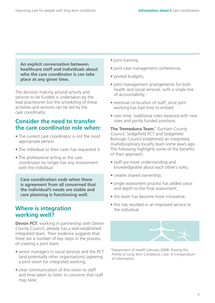**An explicit conversation between healthcare staff and individuals about who the care coordinator is can take place at any given time.** 

The decision making around activity and services to be funded is undertaken by the lead practitioner but the scheduling of these activities and services can be led by the care coordinator.

#### **Consider the need to transfer the care coordinator role when:**

- The current care coordinator is not the most appropriate person.
- The individual or their carer has requested it.
- The professional acting as the care coordinator no longer has any involvement with the individual.

**Care coordination ends when there is agreement from all concerned that the individual's needs are stable and care planning is functioning well.** 

#### **Where is integration working well?**

**Devon PCT**, working in partnership with Devon County Council, already has a well-established integrated team. Their evidence suggests that there are a number of key steps in the process of creating a joint team:

- senior managers in social services and the PCT (and potentially other organisations) agreeing a joint vision for integrated working;
- clear communication of this vision to staff and time taken to listen to concerns that staff may raise;
- joint training;
- joint case management conferences;
- pooled budgets;
- joint management arrangements for both health and social services, with a single line of accountability;
- eventual co-location of staff, once joint working has had time to embed;
- over time, traditional roles replaced with new roles and jointly funded positions.

**The Tremeduna Team.**\* Durham County Council, Sedgefield PCT and Sedgefield Borough Council established an integrated, multidisciplinary locality team some years ago. The following highlights some of the benefits of their approach:

- staff are more understanding and knowledgeable about each other's roles;
- creates shared ownership;
- single assessment process has added value and depth to the final assessment;
- the team has become more innovative;
- this has resulted in an improved service to the individual.



\*Department of Health (January 2008): Raising the Profile of Long Term Conditions Care: A Compendium of Information